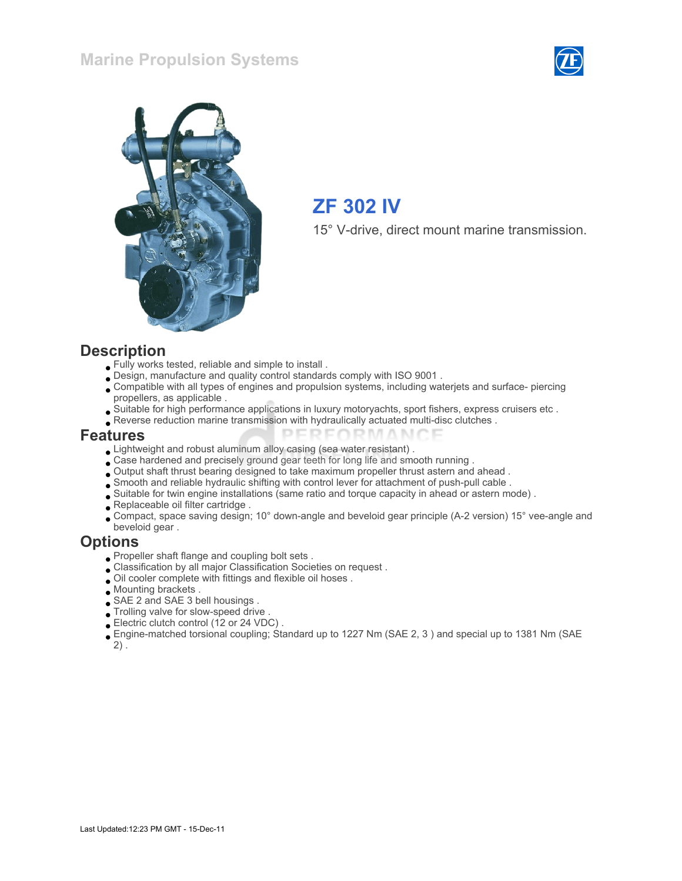#### Marine Propulsion Systems





# ZF 302 IV

15° V-drive, direct mount marine transmission.

#### **Description**

- Fully works tested, reliable and simple to install .
- Design, manufacture and quality control standards comply with ISO 9001 .
- Compatible with all types of engines and propulsion systems, including waterjets and surface- piercing propellers, as applicable .
- Suitable for high performance applications in luxury motoryachts, sport fishers, express cruisers etc .
- Reverse reduction marine transmission with hydraulically actuated multi-disc clutches .

#### Features

- Lightweight and robust aluminum alloy casing (sea water resistant) .
- Case hardened and precisely ground gear teeth for long life and smooth running .
- Output shaft thrust bearing designed to take maximum propeller thrust astern and ahead .

**DEDE** 

- Smooth and reliable hydraulic shifting with control lever for attachment of push-pull cable .
- Suitable for twin engine installations (same ratio and torque capacity in ahead or astern mode) .
- Replaceable oil filter cartridge.
- Compact, space saving design; 10° down-angle and beveloid gear principle (A-2 version) 15° vee-angle and beveloid gear .

MANIC

#### **Options**

- Propeller shaft flange and coupling bolt sets .
- Classification by all major Classification Societies on request .
- Oil cooler complete with fittings and flexible oil hoses .
- Mounting brackets .
- SAE 2 and SAE 3 bell housings .
- Trolling valve for slow-speed drive .
- Electric clutch control (12 or 24 VDC) .
- Engine-matched torsional coupling; Standard up to 1227 Nm (SAE 2, 3 ) and special up to 1381 Nm (SAE  $2)$ .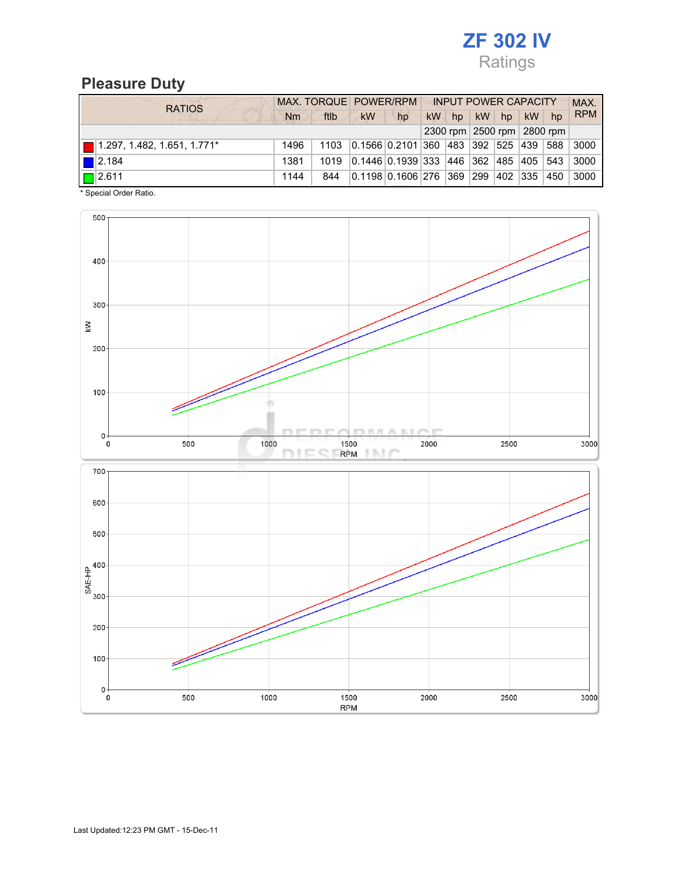# ZF 302 IV Ratings

#### Pleasure Duty

| <b>RATIOS</b>                                      |           |      | MAX. TORQUE POWER/RPM |                                       | <b>INPUT POWER CAPACITY</b> |    |    |             |           |                            | MAX.       |
|----------------------------------------------------|-----------|------|-----------------------|---------------------------------------|-----------------------------|----|----|-------------|-----------|----------------------------|------------|
|                                                    | <b>Nm</b> | ftlb | <b>kW</b>             | hp                                    | <b>kW</b>                   | hp | kW | hp          | <b>kW</b> | hp                         | <b>RPM</b> |
|                                                    |           |      |                       |                                       |                             |    |    |             |           | 2300 rpm 2500 rpm 2800 rpm |            |
| $\boxed{\blacksquare}$ 1.297, 1.482, 1.651, 1.771* | 1496      | 1103 |                       | 0.1566 0.2101 360 483 392 525 439     |                             |    |    |             |           | 588                        | 3000       |
| $\blacksquare$ 2.184                               | 1381      | 1019 |                       | 0.1446 0.1939 333 446 362 485 405 543 |                             |    |    |             |           |                            | 3000       |
| $\boxed{\Box}$ 2.611                               | 1144      | 844  |                       | 0.1198 0.1606 276 369                 |                             |    |    | 299 402 335 |           | 450                        | 3000       |

\* Special Order Ratio.

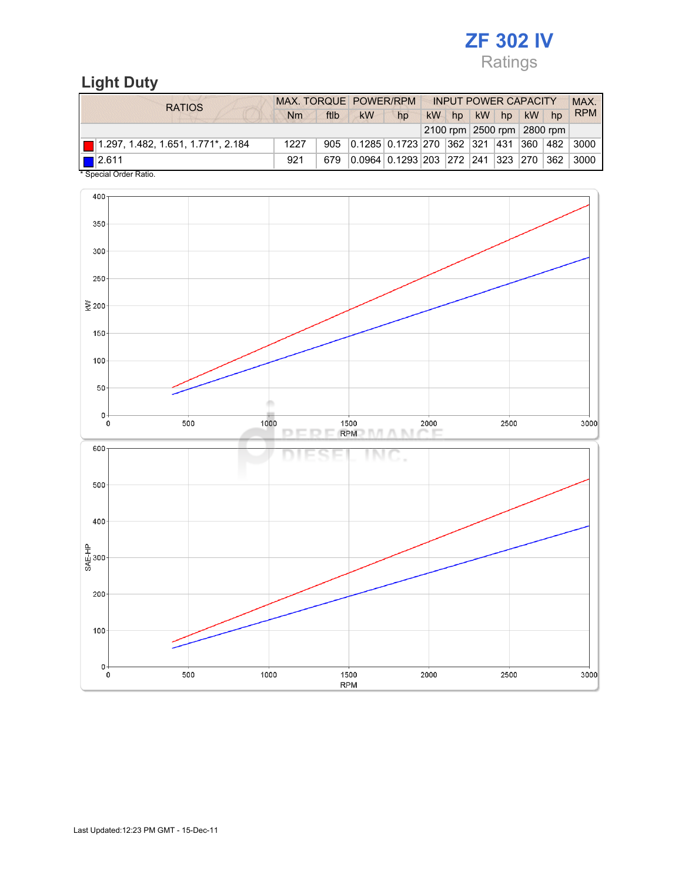# ZF 302 IV Ratings

## Light Duty

| <b>RATIOS</b>                                             | MAX. TORQUE POWER/RPM |      |                                                     | <b>INPUT POWER CAPACITY</b> |  |       |  |             |  | <b>MAX</b>                 |            |
|-----------------------------------------------------------|-----------------------|------|-----------------------------------------------------|-----------------------------|--|-------|--|-------------|--|----------------------------|------------|
|                                                           | Nm                    | ftlb | kW                                                  | hp                          |  | kW hp |  | kW hp kW hp |  |                            | <b>RPM</b> |
|                                                           |                       |      |                                                     |                             |  |       |  |             |  | 2100 rpm 2500 rpm 2800 rpm |            |
| $\boxed{\blacksquare}$ 1.297, 1.482, 1.651, 1.771*, 2.184 | 1227                  | 905  | 0.1285   0.1723   270   362   321   431   360   482 |                             |  |       |  |             |  |                            | 3000       |
| $\blacksquare$ 2.611                                      | 921                   | 679  | 0.0964 0.1293 203 272 241 323 270 362               |                             |  |       |  |             |  |                            | 3000       |
| * Special Order Ratio.                                    |                       |      |                                                     |                             |  |       |  |             |  |                            |            |

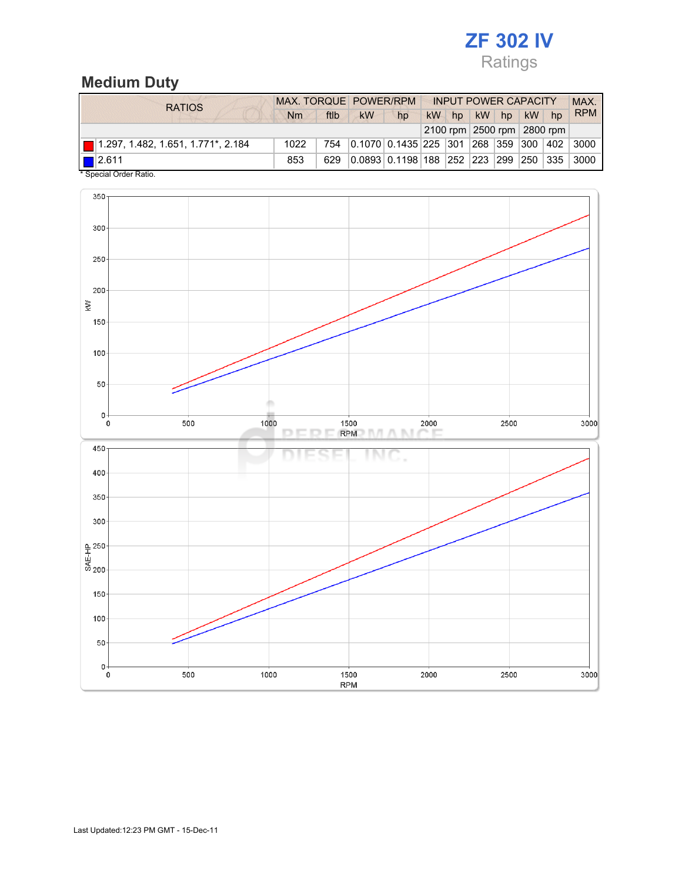## ZF 302 IV Ratings

## Medium Duty

| <b>RATIOS</b>                                             | MAX. TORQUE POWER/RPM |      |                                       |                                                   |    |    | <b>INPUT POWER CAPACITY</b> |  |         |                            | MAX.       |
|-----------------------------------------------------------|-----------------------|------|---------------------------------------|---------------------------------------------------|----|----|-----------------------------|--|---------|----------------------------|------------|
|                                                           | Nm                    | ftlb | kW                                    | hp                                                | kW | hp | kW hp                       |  | $kW$ hp |                            | <b>RPM</b> |
|                                                           |                       |      |                                       |                                                   |    |    |                             |  |         | 2100 rpm 2500 rpm 2800 rpm |            |
| $\boxed{\blacksquare}$ 1.297, 1.482, 1.651, 1.771*, 2.184 | 1022                  | 754  | 0.1070 0.1435 225 301 268 359 300 402 |                                                   |    |    |                             |  |         |                            | $\pm 3000$ |
| $\boxed{\square}$ 2.611                                   | 853                   | 629  |                                       | 0.0893 0.1198 188  252  223  299  250  335   3000 |    |    |                             |  |         |                            |            |
| * Special Order Ratio.                                    |                       |      |                                       |                                                   |    |    |                             |  |         |                            |            |

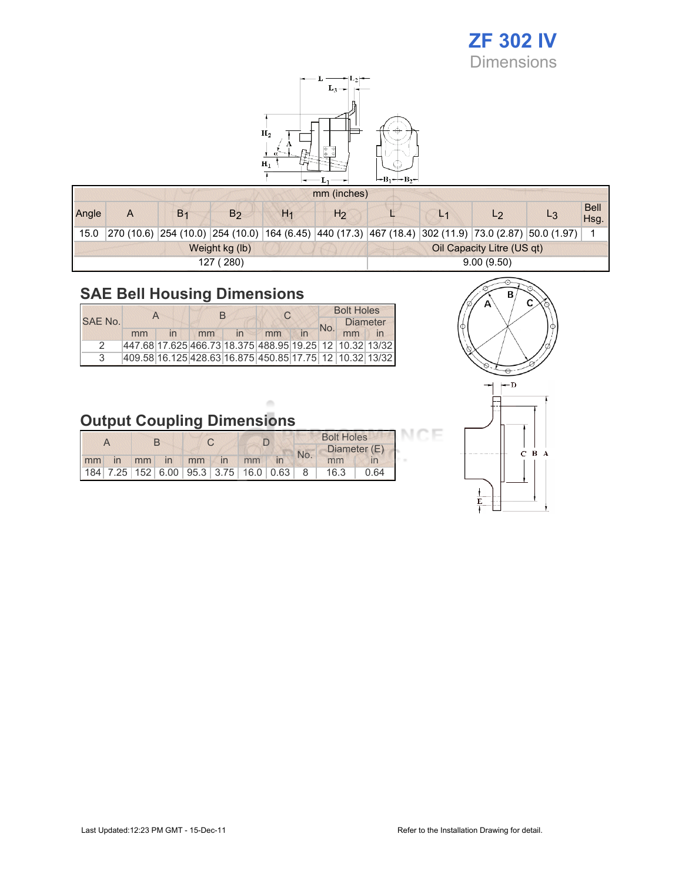# ZF 302 IV

Dimensions



|       |   |                |                |                | mm (inches)    |                            |                |                |                                                                                                      |                    |  |
|-------|---|----------------|----------------|----------------|----------------|----------------------------|----------------|----------------|------------------------------------------------------------------------------------------------------|--------------------|--|
| Angle | Α | B <sub>1</sub> | B <sub>2</sub> | H <sub>1</sub> | H <sub>2</sub> |                            | L <sub>1</sub> | L <sub>2</sub> |                                                                                                      | <b>Bell</b><br>Hsg |  |
| 15.0  |   |                |                |                |                |                            |                |                | 270 (10.6) 254 (10.0) 254 (10.0) 164 (6.45) 440 (17.3) 467 (18.4) 302 (11.9) 73.0 (2.87) 50.0 (1.97) |                    |  |
|       |   |                | Weight kg (lb) |                |                | Oil Capacity Litre (US qt) |                |                |                                                                                                      |                    |  |
|       |   |                | 127 (280)      |                | 9.00(9.50)     |                            |                |                |                                                                                                      |                    |  |

## SAE Bell Housing Dimensions

|         |    |    | R |                                                         | <b>Bolt Holes</b> |    |                 |  |
|---------|----|----|---|---------------------------------------------------------|-------------------|----|-----------------|--|
| SAE No. |    |    |   |                                                         | No.               |    | <b>Diameter</b> |  |
|         | mm | mm |   | mm                                                      |                   | mm |                 |  |
|         |    |    |   | 447.68 17.625 466.73 18.375 488.95 19.25 12 10.32 13/32 |                   |    |                 |  |
|         |    |    |   | 409.58 16.125 428.63 16.875 450.85 17.75 12 10.32 13/32 |                   |    |                 |  |



CE

# Output Coupling Dimensions

|    |    |    |    |  |                                                     | <b>Bolt Holes</b> |      |              |  |  |
|----|----|----|----|--|-----------------------------------------------------|-------------------|------|--------------|--|--|
|    |    |    |    |  |                                                     | No.               |      | Diameter (E) |  |  |
| mm | mm | in | mm |  | mm                                                  |                   | mm   |              |  |  |
|    |    |    |    |  | 184   7.25   152   6.00   95.3   3.75   16.0   0.63 | - 8               | 16.3 | በ 64         |  |  |

 $\alpha$